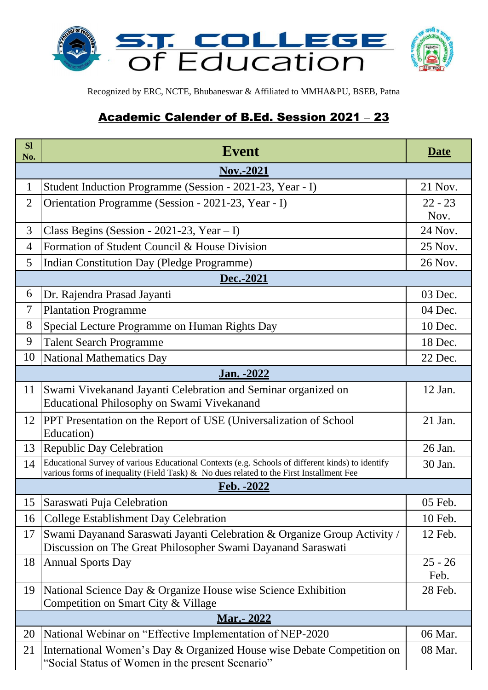

Recognized by ERC, NCTE, Bhubaneswar & Affiliated to MMHA&PU, BSEB, Patna

# Academic Calender of B.Ed. Session 2021 – 23

| <b>Sl</b><br>No.                                         | <b>Event</b>                                                                                                                                                                                |           |  |  |  |
|----------------------------------------------------------|---------------------------------------------------------------------------------------------------------------------------------------------------------------------------------------------|-----------|--|--|--|
| <b>Nov.-2021</b>                                         |                                                                                                                                                                                             |           |  |  |  |
| $\mathbf 1$                                              | Student Induction Programme (Session - 2021-23, Year - I)                                                                                                                                   | 21 Nov.   |  |  |  |
| $\overline{2}$                                           | Orientation Programme (Session - 2021-23, Year - I)                                                                                                                                         | $22 - 23$ |  |  |  |
|                                                          |                                                                                                                                                                                             | Nov.      |  |  |  |
| 3                                                        | Class Begins (Session - 2021-23, Year $- I$ )                                                                                                                                               | 24 Nov.   |  |  |  |
| $\overline{4}$                                           | Formation of Student Council & House Division                                                                                                                                               | 25 Nov.   |  |  |  |
| 5                                                        | Indian Constitution Day (Pledge Programme)                                                                                                                                                  | 26 Nov.   |  |  |  |
|                                                          | Dec.-2021                                                                                                                                                                                   |           |  |  |  |
| 6                                                        | Dr. Rajendra Prasad Jayanti                                                                                                                                                                 | 03 Dec.   |  |  |  |
| 7                                                        | <b>Plantation Programme</b>                                                                                                                                                                 | 04 Dec.   |  |  |  |
| 8                                                        | Special Lecture Programme on Human Rights Day                                                                                                                                               | 10 Dec.   |  |  |  |
| 9                                                        | <b>Talent Search Programme</b>                                                                                                                                                              | 18 Dec.   |  |  |  |
| 10                                                       | National Mathematics Day                                                                                                                                                                    | 22 Dec.   |  |  |  |
|                                                          | Jan. - 2022                                                                                                                                                                                 |           |  |  |  |
| 11                                                       | Swami Vivekanand Jayanti Celebration and Seminar organized on                                                                                                                               | 12 Jan.   |  |  |  |
|                                                          | Educational Philosophy on Swami Vivekanand                                                                                                                                                  |           |  |  |  |
| 12                                                       | PPT Presentation on the Report of USE (Universalization of School                                                                                                                           | 21 Jan.   |  |  |  |
|                                                          | Education)                                                                                                                                                                                  |           |  |  |  |
| 13                                                       | <b>Republic Day Celebration</b>                                                                                                                                                             | 26 Jan.   |  |  |  |
| 14                                                       | Educational Survey of various Educational Contexts (e.g. Schools of different kinds) to identify<br>various forms of inequality (Field Task) & No dues related to the First Installment Fee | 30 Jan.   |  |  |  |
|                                                          | Feb. -2022                                                                                                                                                                                  |           |  |  |  |
|                                                          | 15 Saraswati Puja Celebration                                                                                                                                                               | 05 Feb.   |  |  |  |
| 16                                                       | <b>College Establishment Day Celebration</b>                                                                                                                                                | 10 Feb.   |  |  |  |
| 17                                                       | Swami Dayanand Saraswati Jayanti Celebration & Organize Group Activity /                                                                                                                    | 12 Feb.   |  |  |  |
|                                                          | Discussion on The Great Philosopher Swami Dayanand Saraswati                                                                                                                                |           |  |  |  |
| 18                                                       | <b>Annual Sports Day</b>                                                                                                                                                                    | $25 - 26$ |  |  |  |
|                                                          |                                                                                                                                                                                             | Feb.      |  |  |  |
| 19                                                       | National Science Day & Organize House wise Science Exhibition                                                                                                                               | 28 Feb.   |  |  |  |
| Competition on Smart City & Village<br><u>Mar.- 2022</u> |                                                                                                                                                                                             |           |  |  |  |
| 20                                                       | National Webinar on "Effective Implementation of NEP-2020                                                                                                                                   | 06 Mar.   |  |  |  |
| 21                                                       | International Women's Day & Organized House wise Debate Competition on                                                                                                                      | 08 Mar.   |  |  |  |
|                                                          | "Social Status of Women in the present Scenario"                                                                                                                                            |           |  |  |  |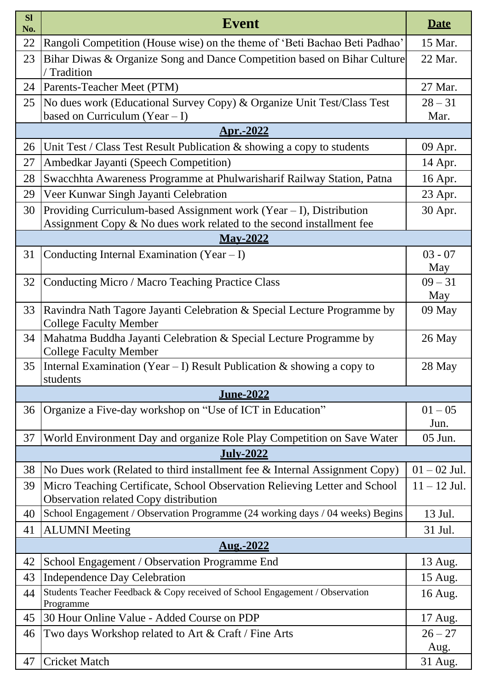| <b>Sl</b><br>No. | <b>Event</b>                                                                                                                                  |                   |  |  |  |  |  |
|------------------|-----------------------------------------------------------------------------------------------------------------------------------------------|-------------------|--|--|--|--|--|
| 22               | Rangoli Competition (House wise) on the theme of 'Beti Bachao Beti Padhao'                                                                    |                   |  |  |  |  |  |
| 23               | Bihar Diwas & Organize Song and Dance Competition based on Bihar Culture<br>Tradition                                                         |                   |  |  |  |  |  |
| 24               | Parents-Teacher Meet (PTM)                                                                                                                    |                   |  |  |  |  |  |
| 25               | No dues work (Educational Survey Copy) & Organize Unit Test/Class Test<br>based on Curriculum (Year $- I$ )                                   | $28 - 31$<br>Mar. |  |  |  |  |  |
|                  | <u>Apr.-2022</u>                                                                                                                              |                   |  |  |  |  |  |
| 26               | Unit Test / Class Test Result Publication $\&$ showing a copy to students                                                                     | 09 Apr.           |  |  |  |  |  |
| 27               | Ambedkar Jayanti (Speech Competition)                                                                                                         | 14 Apr.           |  |  |  |  |  |
| 28               | Swacchhta Awareness Programme at Phulwarisharif Railway Station, Patna                                                                        | 16 Apr.           |  |  |  |  |  |
| 29               | Veer Kunwar Singh Jayanti Celebration                                                                                                         |                   |  |  |  |  |  |
| 30               | Providing Curriculum-based Assignment work (Year $-$ I), Distribution<br>Assignment Copy & No dues work related to the second installment fee | 30 Apr.           |  |  |  |  |  |
|                  | <b>May-2022</b>                                                                                                                               |                   |  |  |  |  |  |
| 31               | Conducting Internal Examination (Year - I)                                                                                                    | $03 - 07$         |  |  |  |  |  |
|                  |                                                                                                                                               | May               |  |  |  |  |  |
| 32               | Conducting Micro / Macro Teaching Practice Class                                                                                              | $09 - 31$         |  |  |  |  |  |
| 33               | Ravindra Nath Tagore Jayanti Celebration & Special Lecture Programme by<br><b>College Faculty Member</b>                                      | May<br>09 May     |  |  |  |  |  |
| 34               | Mahatma Buddha Jayanti Celebration & Special Lecture Programme by<br><b>College Faculty Member</b>                                            | 26 May            |  |  |  |  |  |
| 35               | Internal Examination (Year – I) Result Publication $\&$ showing a copy to<br>students                                                         | 28 May            |  |  |  |  |  |
|                  | <u>June-2022</u>                                                                                                                              |                   |  |  |  |  |  |
| 36               | Organize a Five-day workshop on "Use of ICT in Education"                                                                                     | $01 - 05$<br>Jun. |  |  |  |  |  |
| 37               | World Environment Day and organize Role Play Competition on Save Water                                                                        | 05 Jun.           |  |  |  |  |  |
|                  | <b>July-2022</b>                                                                                                                              |                   |  |  |  |  |  |
| 38               | No Dues work (Related to third installment fee & Internal Assignment Copy)                                                                    | $01 - 02$ Jul.    |  |  |  |  |  |
| 39               | Micro Teaching Certificate, School Observation Relieving Letter and School<br>Observation related Copy distribution                           | $11 - 12$ Jul.    |  |  |  |  |  |
| 40               | School Engagement / Observation Programme (24 working days / 04 weeks) Begins                                                                 |                   |  |  |  |  |  |
| 41               | <b>ALUMNI</b> Meeting                                                                                                                         |                   |  |  |  |  |  |
| Aug.-2022        |                                                                                                                                               |                   |  |  |  |  |  |
| 42               | School Engagement / Observation Programme End                                                                                                 | 13 Aug.           |  |  |  |  |  |
| 43               | <b>Independence Day Celebration</b>                                                                                                           | 15 Aug.           |  |  |  |  |  |
| 44               | Students Teacher Feedback & Copy received of School Engagement / Observation<br>Programme                                                     | 16 Aug.           |  |  |  |  |  |
| 45               | 30 Hour Online Value - Added Course on PDP                                                                                                    | 17 Aug.           |  |  |  |  |  |
| 46               | Two days Workshop related to Art & Craft / Fine Arts                                                                                          | $26 - 27$<br>Aug. |  |  |  |  |  |
| 47               | <b>Cricket Match</b>                                                                                                                          | 31 Aug.           |  |  |  |  |  |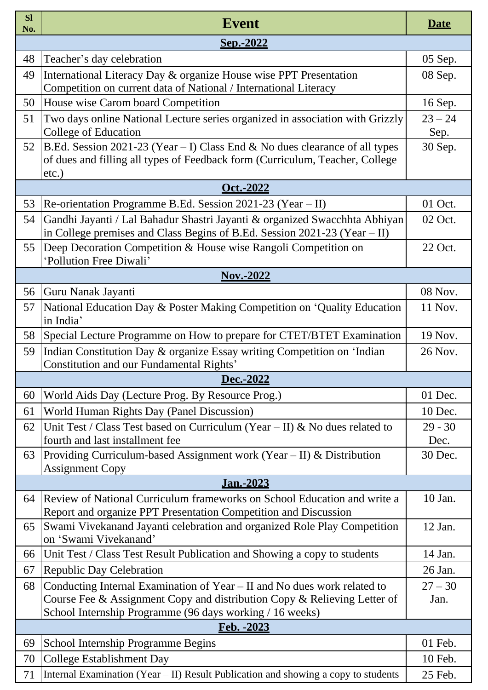| <b>Sl</b><br>No. | <b>Event</b>                                                                                                                                                                                                     |                   |  |  |  |  |
|------------------|------------------------------------------------------------------------------------------------------------------------------------------------------------------------------------------------------------------|-------------------|--|--|--|--|
| Sep.-2022        |                                                                                                                                                                                                                  |                   |  |  |  |  |
| 48               | Teacher's day celebration                                                                                                                                                                                        | 05 Sep.           |  |  |  |  |
| 49               | International Literacy Day & organize House wise PPT Presentation<br>Competition on current data of National / International Literacy                                                                            | 08 Sep.           |  |  |  |  |
| 50               | House wise Carom board Competition                                                                                                                                                                               |                   |  |  |  |  |
| 51               | Two days online National Lecture series organized in association with Grizzly<br>College of Education                                                                                                            |                   |  |  |  |  |
| 52               | $ B.Ed.$ Session 2021-23 (Year – I) Class End & No dues clearance of all types<br>of dues and filling all types of Feedback form (Curriculum, Teacher, College<br>$etc.$ )                                       |                   |  |  |  |  |
|                  | Oct.-2022                                                                                                                                                                                                        |                   |  |  |  |  |
| 53               | Re-orientation Programme B.Ed. Session 2021-23 (Year – II)                                                                                                                                                       | 01 Oct.           |  |  |  |  |
| 54               | Gandhi Jayanti / Lal Bahadur Shastri Jayanti & organized Swacchhta Abhiyan<br>in College premises and Class Begins of B.Ed. Session 2021-23 (Year $-$ II)                                                        | 02 Oct.           |  |  |  |  |
| 55               | Deep Decoration Competition & House wise Rangoli Competition on<br>'Pollution Free Diwali'                                                                                                                       | 22 Oct.           |  |  |  |  |
|                  | <b>Nov.-2022</b>                                                                                                                                                                                                 |                   |  |  |  |  |
| 56               | Guru Nanak Jayanti                                                                                                                                                                                               | 08 Nov.           |  |  |  |  |
| 57               | National Education Day & Poster Making Competition on 'Quality Education<br>in India'                                                                                                                            | 11 Nov.           |  |  |  |  |
| 58               | Special Lecture Programme on How to prepare for CTET/BTET Examination                                                                                                                                            |                   |  |  |  |  |
| 59               | Indian Constitution Day & organize Essay writing Competition on 'Indian<br>Constitution and our Fundamental Rights'                                                                                              | 26 Nov.           |  |  |  |  |
|                  | Dec.-2022                                                                                                                                                                                                        |                   |  |  |  |  |
| 60               | World Aids Day (Lecture Prog. By Resource Prog.)                                                                                                                                                                 | 01 Dec.           |  |  |  |  |
| 61               | World Human Rights Day (Panel Discussion)                                                                                                                                                                        | 10 Dec.           |  |  |  |  |
| 62               | Unit Test / Class Test based on Curriculum (Year – II) & No dues related to<br>fourth and last installment fee                                                                                                   | $29 - 30$<br>Dec. |  |  |  |  |
| 63               | Providing Curriculum-based Assignment work (Year $-$ II) & Distribution<br><b>Assignment Copy</b>                                                                                                                | 30 Dec.           |  |  |  |  |
|                  | Jan.-2023                                                                                                                                                                                                        |                   |  |  |  |  |
| 64               | Review of National Curriculum frameworks on School Education and write a<br>Report and organize PPT Presentation Competition and Discussion                                                                      | 10 Jan.           |  |  |  |  |
| 65               | Swami Vivekanand Jayanti celebration and organized Role Play Competition<br>on 'Swami Vivekanand'                                                                                                                | 12 Jan.           |  |  |  |  |
| 66               | Unit Test / Class Test Result Publication and Showing a copy to students                                                                                                                                         |                   |  |  |  |  |
| 67               | <b>Republic Day Celebration</b>                                                                                                                                                                                  | 26 Jan.           |  |  |  |  |
| 68               | Conducting Internal Examination of Year – II and No dues work related to<br>Course Fee & Assignment Copy and distribution Copy & Relieving Letter of<br>School Internship Programme (96 days working / 16 weeks) | $27 - 30$<br>Jan. |  |  |  |  |
| Feb. - 2023      |                                                                                                                                                                                                                  |                   |  |  |  |  |
| 69               | School Internship Programme Begins                                                                                                                                                                               | 01 Feb.           |  |  |  |  |
| 70               | <b>College Establishment Day</b>                                                                                                                                                                                 | 10 Feb.           |  |  |  |  |
| 71               | Internal Examination (Year - II) Result Publication and showing a copy to students                                                                                                                               | 25 Feb.           |  |  |  |  |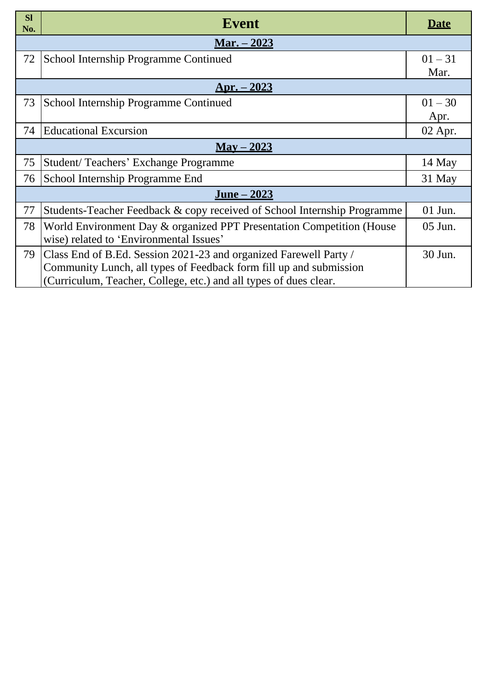| <b>Sl</b><br>No.    | <b>Event</b>                                                                                                                                                                                                 | <b>Date</b>       |  |  |  |  |
|---------------------|--------------------------------------------------------------------------------------------------------------------------------------------------------------------------------------------------------------|-------------------|--|--|--|--|
|                     | <u> Mar. – 2023</u>                                                                                                                                                                                          |                   |  |  |  |  |
| 72                  | School Internship Programme Continued                                                                                                                                                                        | $01 - 31$<br>Mar. |  |  |  |  |
|                     | <u> Apr. – 2023</u>                                                                                                                                                                                          |                   |  |  |  |  |
| 73                  | School Internship Programme Continued                                                                                                                                                                        | $01 - 30$<br>Apr. |  |  |  |  |
| 74                  | <b>Educational Excursion</b>                                                                                                                                                                                 | $02$ Apr.         |  |  |  |  |
| $\text{Mav} - 2023$ |                                                                                                                                                                                                              |                   |  |  |  |  |
| 75                  | Student/Teachers' Exchange Programme                                                                                                                                                                         | 14 May            |  |  |  |  |
| 76                  | School Internship Programme End                                                                                                                                                                              | 31 May            |  |  |  |  |
|                     | <u>June – 2023</u>                                                                                                                                                                                           |                   |  |  |  |  |
| 77                  | Students-Teacher Feedback & copy received of School Internship Programme                                                                                                                                     | $01$ Jun.         |  |  |  |  |
| 78                  | World Environment Day & organized PPT Presentation Competition (House<br>wise) related to 'Environmental Issues'                                                                                             | $05$ Jun.         |  |  |  |  |
| 79                  | Class End of B.Ed. Session 2021-23 and organized Farewell Party /<br>Community Lunch, all types of Feedback form fill up and submission<br>(Curriculum, Teacher, College, etc.) and all types of dues clear. | 30 Jun.           |  |  |  |  |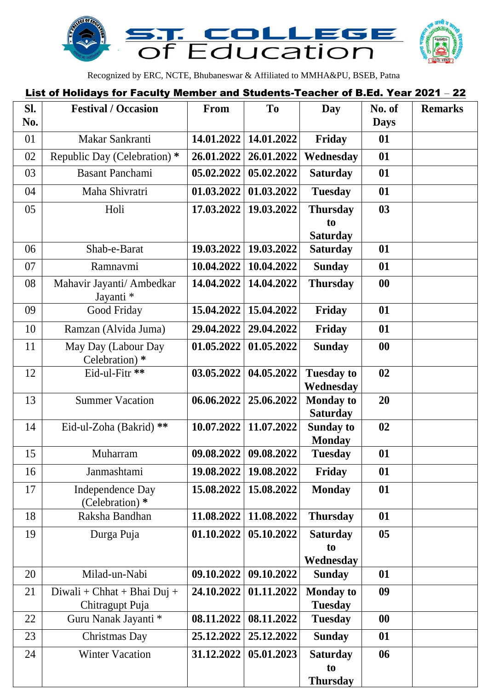

Recognized by ERC, NCTE, Bhubaneswar & Affiliated to MMHA&PU, BSEB, Patna

#### List of Holidays for Faculty Member and Students-Teacher of B.Ed. Year 2021 – 22

| Sl.<br>No. | <b>Festival / Occasion</b>                       | From       | T <sub>0</sub> | Day                                      | No. of<br><b>Days</b> | <b>Remarks</b> |
|------------|--------------------------------------------------|------------|----------------|------------------------------------------|-----------------------|----------------|
| 01         | Makar Sankranti                                  | 14.01.2022 | 14.01.2022     | <b>Friday</b>                            | 01                    |                |
| 02         | Republic Day (Celebration) *                     | 26.01.2022 | 26.01.2022     | Wednesday                                | 01                    |                |
| 03         | <b>Basant Panchami</b>                           | 05.02.2022 | 05.02.2022     | <b>Saturday</b>                          | 01                    |                |
| 04         | Maha Shivratri                                   | 01.03.2022 | 01.03.2022     | <b>Tuesday</b>                           | 01                    |                |
| 05         | Holi                                             | 17.03.2022 | 19.03.2022     | <b>Thursday</b><br>to<br><b>Saturday</b> | 03                    |                |
| 06         | Shab-e-Barat                                     | 19.03.2022 | 19.03.2022     | <b>Saturday</b>                          | 01                    |                |
| 07         | Ramnavmi                                         | 10.04.2022 | 10.04.2022     | <b>Sunday</b>                            | 01                    |                |
| 08         | Mahavir Jayanti/ Ambedkar<br>Jayanti *           | 14.04.2022 | 14.04.2022     | <b>Thursday</b>                          | $\boldsymbol{00}$     |                |
| 09         | Good Friday                                      | 15.04.2022 | 15.04.2022     | Friday                                   | 01                    |                |
| 10         | Ramzan (Alvida Juma)                             | 29.04.2022 | 29.04.2022     | Friday                                   | 01                    |                |
| 11         | May Day (Labour Day<br>Celebration) *            | 01.05.2022 | 01.05.2022     | <b>Sunday</b>                            | $\boldsymbol{00}$     |                |
| 12         | Eid-ul-Fitr **                                   | 03.05.2022 | 04.05.2022     | <b>Tuesday to</b><br>Wednesday           | 02                    |                |
| 13         | <b>Summer Vacation</b>                           | 06.06.2022 | 25.06.2022     | <b>Monday to</b><br><b>Saturday</b>      | 20                    |                |
| 14         | Eid-ul-Zoha (Bakrid) **                          | 10.07.2022 | 11.07.2022     | <b>Sunday to</b><br><b>Monday</b>        | 02                    |                |
| 15         | Muharram                                         | 09.08.2022 | 09.08.2022     | <b>Tuesday</b>                           | 01                    |                |
| 16         | Janmashtami                                      | 19.08.2022 | 19.08.2022     | Friday                                   | 01                    |                |
| 17         | <b>Independence Day</b><br>(Celebration) *       | 15.08.2022 | 15.08.2022     | <b>Monday</b>                            | 01                    |                |
| 18         | Raksha Bandhan                                   | 11.08.2022 | 11.08.2022     | <b>Thursday</b>                          | 01                    |                |
| 19         | Durga Puja                                       | 01.10.2022 | 05.10.2022     | <b>Saturday</b><br>to<br>Wednesday       | 0 <sub>5</sub>        |                |
| 20         | Milad-un-Nabi                                    | 09.10.2022 | 09.10.2022     | <b>Sunday</b>                            | 01                    |                |
| 21         | $Divali + Chhat + Bhai Duj +$<br>Chitragupt Puja | 24.10.2022 | 01.11.2022     | <b>Monday to</b><br><b>Tuesday</b>       | 09                    |                |
| 22         | Guru Nanak Jayanti *                             | 08.11.2022 | 08.11.2022     | <b>Tuesday</b>                           | $\bf{00}$             |                |
| 23         | Christmas Day                                    | 25.12.2022 | 25.12.2022     | <b>Sunday</b>                            | 01                    |                |
| 24         | <b>Winter Vacation</b>                           | 31.12.2022 | 05.01.2023     | <b>Saturday</b><br>to<br><b>Thursday</b> | 06                    |                |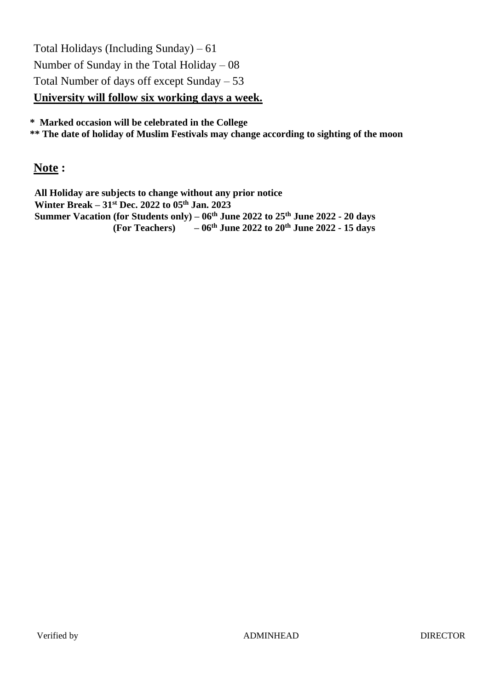Total Holidays (Including Sunday) – 61 Number of Sunday in the Total Holiday – 08 Total Number of days off except Sunday – 53 **University will follow six working days a week.**

**\* Marked occasion will be celebrated in the College**

**\*\* The date of holiday of Muslim Festivals may change according to sighting of the moon**

**Note :**

**All Holiday are subjects to change without any prior notice Winter Break – 31st Dec. 2022 to 05th Jan. 2023 Summer Vacation (for Students only) – 06th June 2022 to 25 th June 2022 - 20 days (For Teachers) – 06th June 2022 to 20th June 2022 - 15 days**